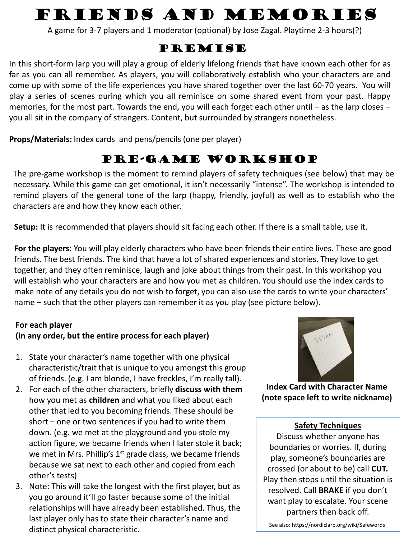# Friends and Memories

A game for 3-7 players and 1 moderator (optional) by Jose Zagal. Playtime 2-3 hours(?)

## PREMISE

In this short-form larp you will play a group of elderly lifelong friends that have known each other for as far as you can all remember. As players, you will collaboratively establish who your characters are and come up with some of the life experiences you have shared together over the last 60-70 years. You will play a series of scenes during which you all reminisce on some shared event from your past. Happy memories, for the most part. Towards the end, you will each forget each other until – as the larp closes – you all sit in the company of strangers. Content, but surrounded by strangers nonetheless.

**Props/Materials:** Index cards and pens/pencils (one per player)

# Pre-game Workshop

The pre-game workshop is the moment to remind players of safety techniques (see below) that may be necessary. While this game can get emotional, it isn't necessarily "intense". The workshop is intended to remind players of the general tone of the larp (happy, friendly, joyful) as well as to establish who the characters are and how they know each other.

**Setup:** It is recommended that players should sit facing each other. If there is a small table, use it.

**For the players**: You will play elderly characters who have been friends their entire lives. These are good friends. The best friends. The kind that have a lot of shared experiences and stories. They love to get together, and they often reminisce, laugh and joke about things from their past. In this workshop you will establish who your characters are and how you met as children. You should use the index cards to make note of any details you do not wish to forget, you can also use the cards to write your characters' name – such that the other players can remember it as you play (see picture below).

### **For each player (in any order, but the entire process for each player)**

- 1. State your character's name together with one physical characteristic/trait that is unique to you amongst this group of friends. (e.g. I am blonde, I have freckles, I'm really tall).
- 2. For each of the other characters, briefly **discuss with them**  how you met as **children** and what you liked about each other that led to you becoming friends. These should be short – one or two sentences if you had to write them down. (e.g. we met at the playground and you stole my action figure, we became friends when I later stole it back; we met in Mrs. Phillip's 1<sup>st</sup> grade class, we became friends because we sat next to each other and copied from each other's tests)
- 3. Note: This will take the longest with the first player, but as you go around it'll go faster because some of the initial relationships will have already been established. Thus, the last player only has to state their character's name and distinct physical characteristic.



**Index Card with Character Name (note space left to write nickname)**

#### **Safety Techniques**

Discuss whether anyone has boundaries or worries. If, during play, someone's boundaries are crossed (or about to be) call **CUT.**  Play then stops until the situation is resolved. Call **BRAKE** if you don't want play to escalate. Your scene partners then back off.

See also: https://nordiclarp.org/wiki/Safewords